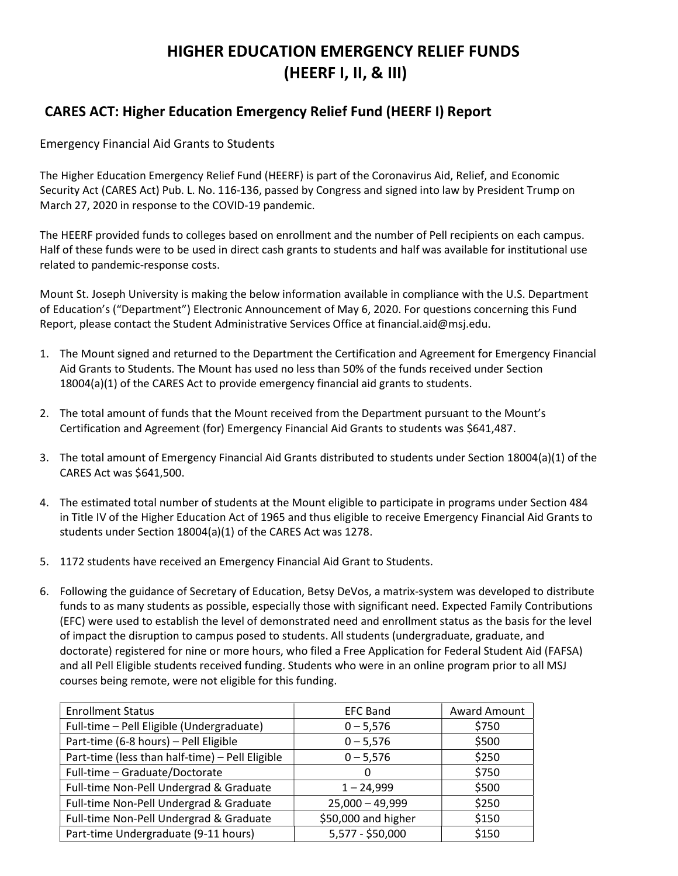# HIGHER EDUCATION EMERGENCY RELIEF FUNDS (HEERF I, II, & III)

# CARES ACT: Higher Education Emergency Relief Fund (HEERF I) Report

Emergency Financial Aid Grants to Students

The Higher Education Emergency Relief Fund (HEERF) is part of the Coronavirus Aid, Relief, and Economic Security Act (CARES Act) Pub. L. No. 116-136, passed by Congress and signed into law by President Trump on March 27, 2020 in response to the COVID-19 pandemic.

The HEERF provided funds to colleges based on enrollment and the number of Pell recipients on each campus. Half of these funds were to be used in direct cash grants to students and half was available for institutional use related to pandemic-response costs.

Mount St. Joseph University is making the below information available in compliance with the U.S. Department of Education's ("Department") Electronic Announcement of May 6, 2020. For questions concerning this Fund Report, please contact the Student Administrative Services Office at financial.aid@msj.edu.

- 1. The Mount signed and returned to the Department the Certification and Agreement for Emergency Financial Aid Grants to Students. The Mount has used no less than 50% of the funds received under Section 18004(a)(1) of the CARES Act to provide emergency financial aid grants to students.
- 2. The total amount of funds that the Mount received from the Department pursuant to the Mount's Certification and Agreement (for) Emergency Financial Aid Grants to students was \$641,487.
- 3. The total amount of Emergency Financial Aid Grants distributed to students under Section 18004(a)(1) of the CARES Act was \$641,500.
- 4. The estimated total number of students at the Mount eligible to participate in programs under Section 484 in Title IV of the Higher Education Act of 1965 and thus eligible to receive Emergency Financial Aid Grants to students under Section 18004(a)(1) of the CARES Act was 1278.
- 5. 1172 students have received an Emergency Financial Aid Grant to Students.
- 6. Following the guidance of Secretary of Education, Betsy DeVos, a matrix-system was developed to distribute funds to as many students as possible, especially those with significant need. Expected Family Contributions (EFC) were used to establish the level of demonstrated need and enrollment status as the basis for the level of impact the disruption to campus posed to students. All students (undergraduate, graduate, and doctorate) registered for nine or more hours, who filed a Free Application for Federal Student Aid (FAFSA) and all Pell Eligible students received funding. Students who were in an online program prior to all MSJ courses being remote, were not eligible for this funding.

| <b>Enrollment Status</b>                        | <b>EFC Band</b>     | <b>Award Amount</b> |
|-------------------------------------------------|---------------------|---------------------|
| Full-time - Pell Eligible (Undergraduate)       | $0 - 5,576$         | \$750               |
| Part-time (6-8 hours) - Pell Eligible           | $0 - 5,576$         | \$500               |
| Part-time (less than half-time) - Pell Eligible | $0 - 5,576$         | \$250               |
| Full-time - Graduate/Doctorate                  | 0                   | \$750               |
| Full-time Non-Pell Undergrad & Graduate         | $1 - 24,999$        | \$500               |
| Full-time Non-Pell Undergrad & Graduate         | $25,000 - 49,999$   | \$250               |
| Full-time Non-Pell Undergrad & Graduate         | \$50,000 and higher | \$150               |
| Part-time Undergraduate (9-11 hours)            | 5,577 - \$50,000    | \$150               |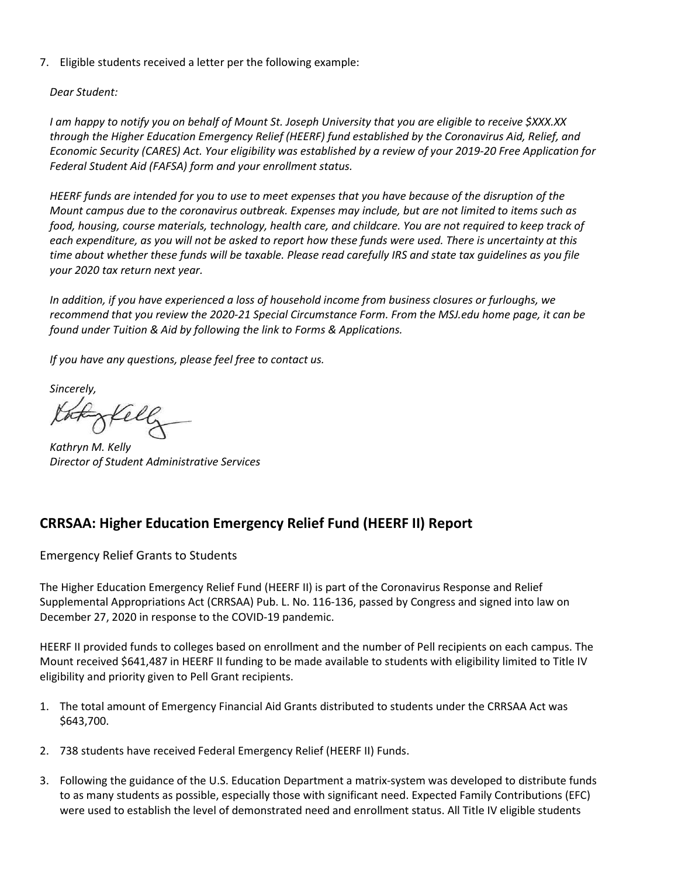7. Eligible students received a letter per the following example:

Dear Student:

I am happy to notify you on behalf of Mount St. Joseph University that you are eligible to receive \$XXX.XX through the Higher Education Emergency Relief (HEERF) fund established by the Coronavirus Aid, Relief, and Economic Security (CARES) Act. Your eligibility was established by a review of your 2019-20 Free Application for Federal Student Aid (FAFSA) form and your enrollment status.

HEERF funds are intended for you to use to meet expenses that you have because of the disruption of the Mount campus due to the coronavirus outbreak. Expenses may include, but are not limited to items such as food, housing, course materials, technology, health care, and childcare. You are not required to keep track of each expenditure, as you will not be asked to report how these funds were used. There is uncertainty at this time about whether these funds will be taxable. Please read carefully IRS and state tax guidelines as you file your 2020 tax return next year.

In addition, if you have experienced a loss of household income from business closures or furloughs, we recommend that you review the 2020-21 Special Circumstance Form. From the MSJ.edu home page, it can be found under Tuition & Aid by following the link to Forms & Applications.

If you have any questions, please feel free to contact us.

Sincerely,

Kathryn M. Kelly Director of Student Administrative Services

# CRRSAA: Higher Education Emergency Relief Fund (HEERF II) Report

Emergency Relief Grants to Students

The Higher Education Emergency Relief Fund (HEERF II) is part of the Coronavirus Response and Relief Supplemental Appropriations Act (CRRSAA) Pub. L. No. 116-136, passed by Congress and signed into law on December 27, 2020 in response to the COVID-19 pandemic.

HEERF II provided funds to colleges based on enrollment and the number of Pell recipients on each campus. The Mount received \$641,487 in HEERF II funding to be made available to students with eligibility limited to Title IV eligibility and priority given to Pell Grant recipients.

- 1. The total amount of Emergency Financial Aid Grants distributed to students under the CRRSAA Act was \$643,700.
- 2. 738 students have received Federal Emergency Relief (HEERF II) Funds.
- 3. Following the guidance of the U.S. Education Department a matrix-system was developed to distribute funds to as many students as possible, especially those with significant need. Expected Family Contributions (EFC) were used to establish the level of demonstrated need and enrollment status. All Title IV eligible students